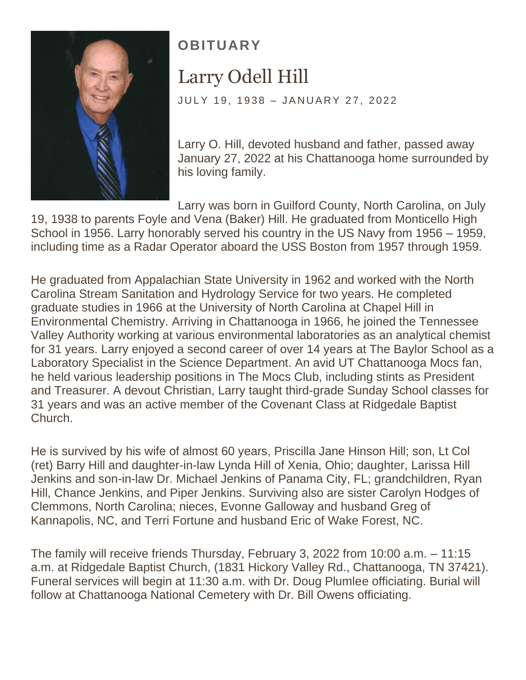

## **OBITUARY** Larry Odell Hill

JULY 19, 1938 - JANUARY 27, 2022

Larry O. Hill, devoted husband and father, passed away January 27, 2022 at his Chattanooga home surrounded by his loving family.

Larry was born in Guilford County, North Carolina, on July

19, 1938 to parents Foyle and Vena (Baker) Hill. He graduated from Monticello High School in 1956. Larry honorably served his country in the US Navy from 1956 – 1959, including time as a Radar Operator aboard the USS Boston from 1957 through 1959.

He graduated from Appalachian State University in 1962 and worked with the North Carolina Stream Sanitation and Hydrology Service for two years. He completed graduate studies in 1966 at the University of North Carolina at Chapel Hill in Environmental Chemistry. Arriving in Chattanooga in 1966, he joined the Tennessee Valley Authority working at various environmental laboratories as an analytical chemist for 31 years. Larry enjoyed a second career of over 14 years at The Baylor School as a Laboratory Specialist in the Science Department. An avid UT Chattanooga Mocs fan, he held various leadership positions in The Mocs Club, including stints as President and Treasurer. A devout Christian, Larry taught third-grade Sunday School classes for 31 years and was an active member of the Covenant Class at Ridgedale Baptist Church.

He is survived by his wife of almost 60 years, Priscilla Jane Hinson Hill; son, Lt Col (ret) Barry Hill and daughter-in-law Lynda Hill of Xenia, Ohio; daughter, Larissa Hill Jenkins and son-in-law Dr. Michael Jenkins of Panama City, FL; grandchildren, Ryan Hill, Chance Jenkins, and Piper Jenkins. Surviving also are sister Carolyn Hodges of Clemmons, North Carolina; nieces, Evonne Galloway and husband Greg of Kannapolis, NC, and Terri Fortune and husband Eric of Wake Forest, NC.

The family will receive friends Thursday, February 3, 2022 from 10:00 a.m. – 11:15 a.m. at Ridgedale Baptist Church, (1831 Hickory Valley Rd., Chattanooga, TN 37421). Funeral services will begin at 11:30 a.m. with Dr. Doug Plumlee officiating. Burial will follow at Chattanooga National Cemetery with Dr. Bill Owens officiating.